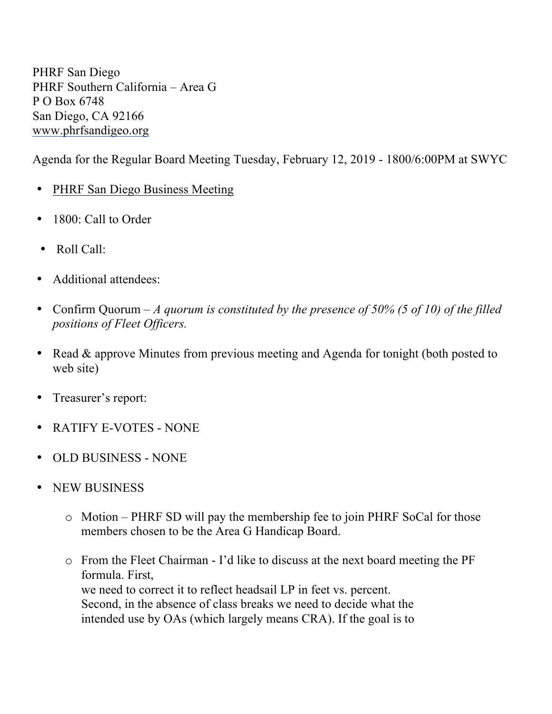PHRF San Diego PHRF Southern California – Area G P O Box 6748 San Diego, CA 92166 www.phrfsandigeo.org

Agenda for the Regular Board Meeting Tuesday, February 12, 2019 - 1800/6:00PM at SWYC

- PHRF San Diego Business Meeting
- 1800: Call to Order
- Roll Call:
- Additional attendees:
- Confirm Quorum *A quorum is constituted by the presence of 50% (5 of 10) of the filled positions of Fleet Officers.*
- Read & approve Minutes from previous meeting and Agenda for tonight (both posted to web site)
- Treasurer's report:
- RATIFY E-VOTES NONE
- OLD BUSINESS NONE
- NEW BUSINESS
	- o Motion PHRF SD will pay the membership fee to join PHRF SoCal for those members chosen to be the Area G Handicap Board.
	- o From the Fleet Chairman I'd like to discuss at the next board meeting the PF formula. First, we need to correct it to reflect headsail LP in feet vs. percent. Second, in the absence of class breaks we need to decide what the intended use by OAs (which largely means CRA). If the goal is to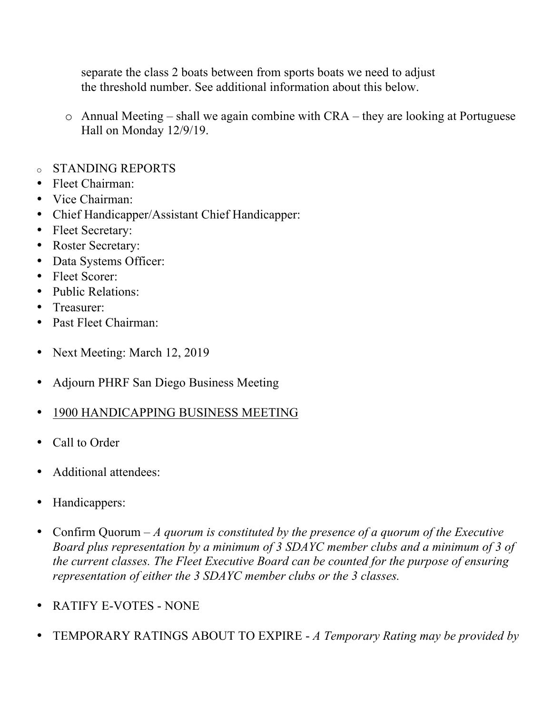separate the class 2 boats between from sports boats we need to adjust the threshold number. See additional information about this below.

- o Annual Meeting shall we again combine with CRA they are looking at Portuguese Hall on Monday 12/9/19.
- o STANDING REPORTS
- Fleet Chairman:
- Vice Chairman:
- Chief Handicapper/Assistant Chief Handicapper:
- Fleet Secretary:
- Roster Secretary:
- Data Systems Officer:
- Fleet Scorer:
- Public Relations:
- Treasurer:
- Past Fleet Chairman:
- Next Meeting: March 12, 2019
- Adjourn PHRF San Diego Business Meeting
- 1900 HANDICAPPING BUSINESS MEETING
- Call to Order
- Additional attendees:
- Handicappers:
- Confirm Quorum *A quorum is constituted by the presence of a quorum of the Executive Board plus representation by a minimum of 3 SDAYC member clubs and a minimum of 3 of the current classes. The Fleet Executive Board can be counted for the purpose of ensuring representation of either the 3 SDAYC member clubs or the 3 classes.*
- RATIFY E-VOTES NONE
- TEMPORARY RATINGS ABOUT TO EXPIRE *A Temporary Rating may be provided by*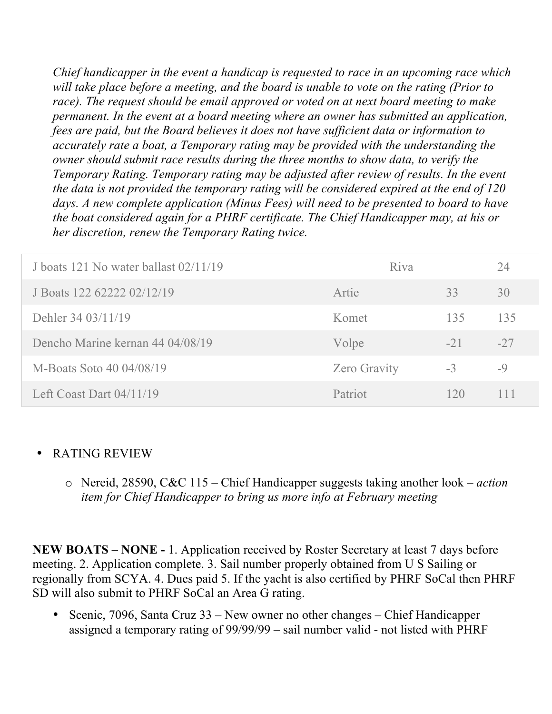*Chief handicapper in the event a handicap is requested to race in an upcoming race which will take place before a meeting, and the board is unable to vote on the rating (Prior to race). The request should be email approved or voted on at next board meeting to make permanent. In the event at a board meeting where an owner has submitted an application, fees are paid, but the Board believes it does not have sufficient data or information to accurately rate a boat, a Temporary rating may be provided with the understanding the owner should submit race results during the three months to show data, to verify the Temporary Rating. Temporary rating may be adjusted after review of results. In the event the data is not provided the temporary rating will be considered expired at the end of 120 days. A new complete application (Minus Fees) will need to be presented to board to have the boat considered again for a PHRF certificate. The Chief Handicapper may, at his or her discretion, renew the Temporary Rating twice.*

| J boats 121 No water ballast 02/11/19 | Riva                |       | 24    |
|---------------------------------------|---------------------|-------|-------|
| J Boats 122 62222 02/12/19            | Artie               | 33    | 30    |
| Dehler 34 03/11/19                    | Komet               | 135   | 135   |
| Dencho Marine kernan 44 04/08/19      | Volpe               | $-21$ | $-27$ |
| M-Boats Soto 40 04/08/19              | <b>Zero Gravity</b> | $-3$  | $-9$  |
| Left Coast Dart $04/11/19$            | Patriot             | 120   | 111   |

## • RATING REVIEW

o Nereid, 28590, C&C 115 – Chief Handicapper suggests taking another look – *action item for Chief Handicapper to bring us more info at February meeting*

**NEW BOATS – NONE -** 1. Application received by Roster Secretary at least 7 days before meeting. 2. Application complete. 3. Sail number properly obtained from U S Sailing or regionally from SCYA. 4. Dues paid 5. If the yacht is also certified by PHRF SoCal then PHRF SD will also submit to PHRF SoCal an Area G rating.

• Scenic, 7096, Santa Cruz 33 – New owner no other changes – Chief Handicapper assigned a temporary rating of 99/99/99 – sail number valid - not listed with PHRF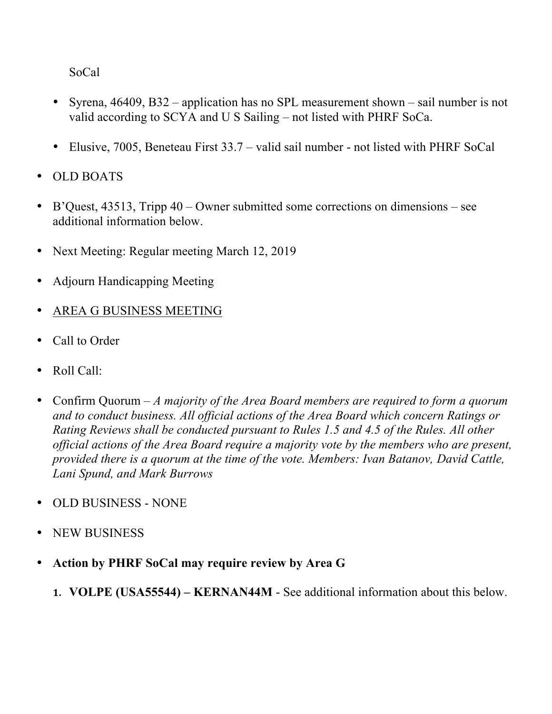SoCal

- Syrena, 46409, B32 application has no SPL measurement shown sail number is not valid according to SCYA and U S Sailing – not listed with PHRF SoCa.
- Elusive, 7005, Beneteau First 33.7 valid sail number not listed with PHRF SoCal
- OLD BOATS
- B'Quest, 43513, Tripp 40 Owner submitted some corrections on dimensions see additional information below.
- Next Meeting: Regular meeting March 12, 2019
- Adjourn Handicapping Meeting
- AREA G BUSINESS MEETING
- Call to Order
- Roll Call:
- Confirm Quorum *A majority of the Area Board members are required to form a quorum and to conduct business. All official actions of the Area Board which concern Ratings or Rating Reviews shall be conducted pursuant to Rules 1.5 and 4.5 of the Rules. All other official actions of the Area Board require a majority vote by the members who are present, provided there is a quorum at the time of the vote. Members: Ivan Batanov, David Cattle, Lani Spund, and Mark Burrows*
- OLD BUSINESS NONE
- NEW BUSINESS
- **Action by PHRF SoCal may require review by Area G** 
	- **1. VOLPE (USA55544) – KERNAN44M**  See additional information about this below.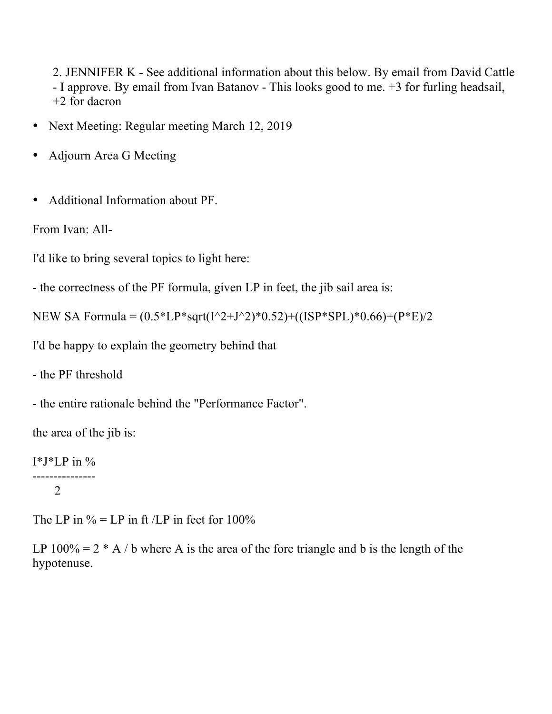2. JENNIFER K - See additional information about this below. By email from David Cattle - I approve. By email from Ivan Batanov - This looks good to me. +3 for furling headsail, +2 for dacron

- Next Meeting: Regular meeting March 12, 2019
- Adjourn Area G Meeting
- Additional Information about PF.

```
From Ivan: All-
```
I'd like to bring several topics to light here:

```
- the correctness of the PF formula, given LP in feet, the jib sail area is:
```

```
NEW SA Formula = (0.5 * LP * sqrt(I^2+J^2)*0.52) + ((ISP * SPI)*0.66) + (P * E)/2
```
I'd be happy to explain the geometry behind that

- the PF threshold

- the entire rationale behind the "Performance Factor".

the area of the jib is:

```
I^*J^*LP in %
```

```
---------------
\mathcal{L}
```
The LP in  $\%$  = LP in ft /LP in feet for 100%

LP  $100\% = 2 * A / b$  where A is the area of the fore triangle and b is the length of the hypotenuse.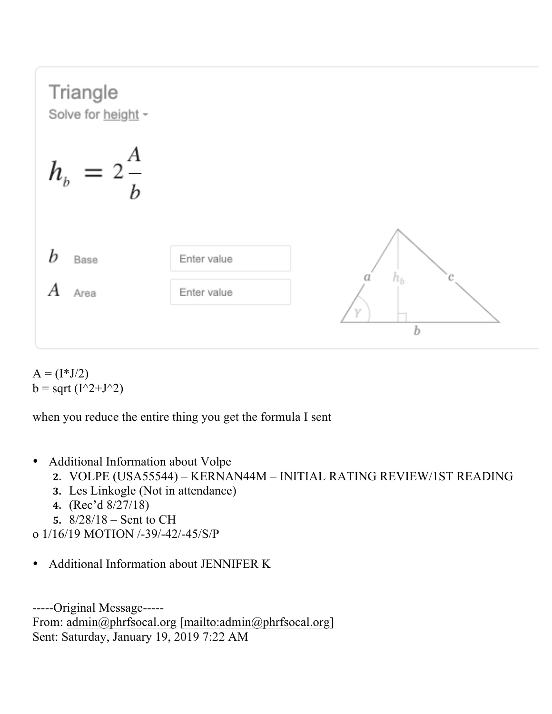

 $A = (I^*J/2)$  $b = sqrt(I^2+J^2)$ 

when you reduce the entire thing you get the formula I sent

- Additional Information about Volpe
	- **2.** VOLPE (USA55544) KERNAN44M INITIAL RATING REVIEW/1ST READING
	- **3.** Les Linkogle (Not in attendance)
	- **4.** (Rec'd 8/27/18)
	- **5.** 8/28/18 Sent to CH
- o 1/16/19 MOTION /-39/-42/-45/S/P
- Additional Information about JENNIFER K

-----Original Message----- From: admin@phrfsocal.org [mailto:admin@phrfsocal.org] Sent: Saturday, January 19, 2019 7:22 AM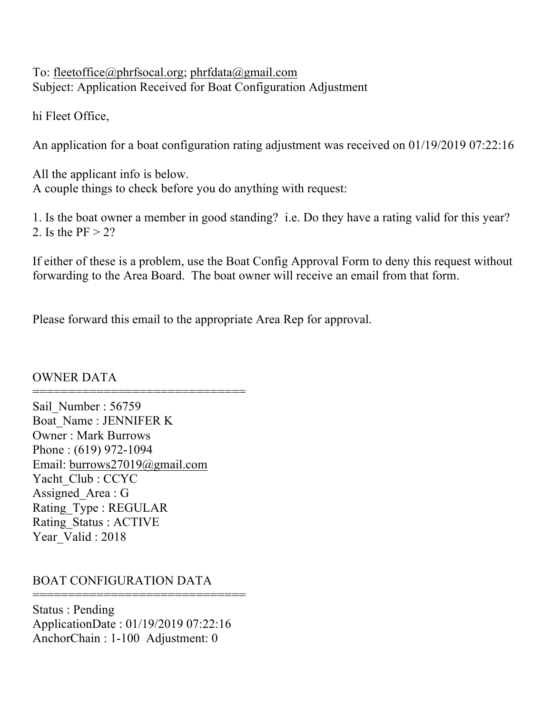To: fleetoffice@phrfsocal.org; phrfdata@gmail.com Subject: Application Received for Boat Configuration Adjustment

hi Fleet Office,

An application for a boat configuration rating adjustment was received on 01/19/2019 07:22:16

All the applicant info is below. A couple things to check before you do anything with request:

1. Is the boat owner a member in good standing? i.e. Do they have a rating valid for this year? 2. Is the  $PF > 2$ ?

If either of these is a problem, use the Boat Config Approval Form to deny this request without forwarding to the Area Board. The boat owner will receive an email from that form.

Please forward this email to the appropriate Area Rep for approval.

## OWNER DATA

====================================== Sail Number : 56759 Boat\_Name : JENNIFER K Owner : Mark Burrows Phone : (619) 972-1094 Email: burrows27019@gmail.com Yacht\_Club : CCYC Assigned Area : G Rating\_Type : REGULAR Rating\_Status : ACTIVE Year\_Valid : 2018

## BOAT CONFIGURATION DATA

Status : Pending ApplicationDate : 01/19/2019 07:22:16 AnchorChain : 1-100 Adjustment: 0

================================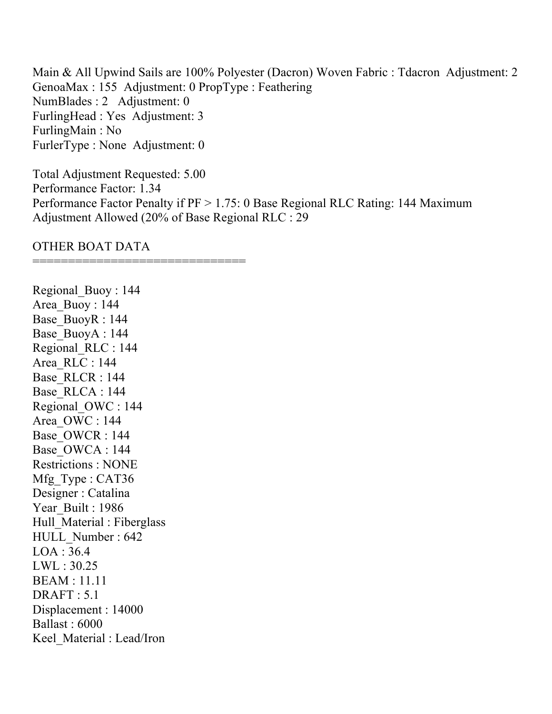Main & All Upwind Sails are 100% Polyester (Dacron) Woven Fabric : Tdacron Adjustment: 2 GenoaMax : 155 Adjustment: 0 PropType : Feathering NumBlades : 2 Adjustment: 0 FurlingHead : Yes Adjustment: 3 FurlingMain : No FurlerType : None Adjustment: 0

Total Adjustment Requested: 5.00 Performance Factor: 1.34 Performance Factor Penalty if PF > 1.75: 0 Base Regional RLC Rating: 144 Maximum Adjustment Allowed (20% of Base Regional RLC : 29

OTHER BOAT DATA

====================================

Regional\_Buoy : 144 Area\_Buoy : 144 Base\_BuoyR : 144 Base\_BuoyA : 144 Regional\_RLC : 144 Area\_RLC : 144 Base\_RLCR : 144 Base\_RLCA : 144 Regional\_OWC : 144 Area\_OWC : 144 Base\_OWCR : 144 Base\_OWCA : 144 Restrictions : NONE Mfg Type : CAT36 Designer : Catalina Year Built : 1986 Hull Material : Fiberglass HULL\_Number : 642 LOA : 36.4 LWL : 30.25 BEAM : 11.11 DRAFT : 5.1 Displacement : 14000 Ballast : 6000 Keel\_Material : Lead/Iron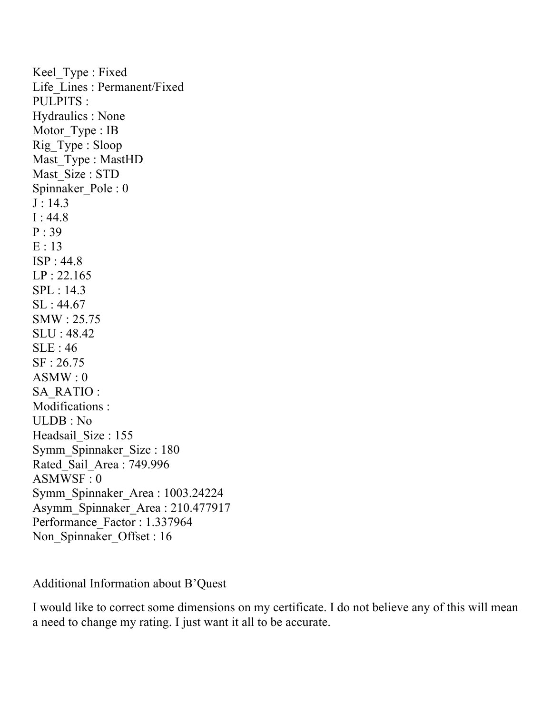Keel Type : Fixed Life\_Lines : Permanent/Fixed PULPITS : Hydraulics : None Motor Type : IB Rig\_Type : Sloop Mast Type : MastHD Mast Size : STD Spinnaker\_Pole : 0  $J : 14.3$  $I: 44.8$ P : 39 E : 13 ISP : 44.8 LP : 22.165 SPL : 14.3 SL : 44.67 SMW : 25.75 SLU : 48.42 SLE : 46 SF : 26.75  $ASMW:0$ SA\_RATIO : Modifications : ULDB : No Headsail Size : 155 Symm\_Spinnaker\_Size : 180 Rated\_Sail\_Area : 749.996 ASMWSF : 0 Symm\_Spinnaker\_Area : 1003.24224 Asymm\_Spinnaker\_Area : 210.477917 Performance\_Factor : 1.337964 Non\_Spinnaker\_Offset : 16

Additional Information about B'Quest

I would like to correct some dimensions on my certificate. I do not believe any of this will mean a need to change my rating. I just want it all to be accurate.